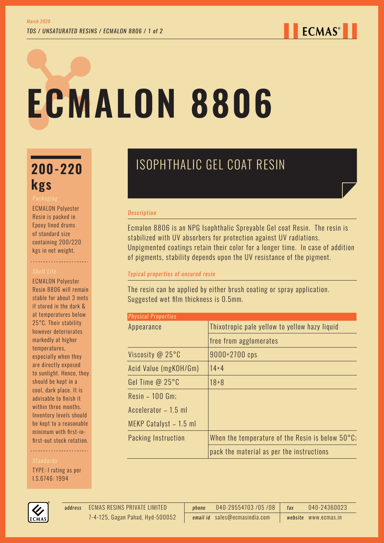# **ECMALON 8806**

# **kgs**

ECMALON Polyester Resin is packed in Epoxy lined drums of standard size containing 200/220 kgs in net weight.

----------------------

ECMALON Polyester Resin 8806 will remain stable for about 3 mnts if stored in the dark & at temperatures below 25°C. Their stability however deteriorates markedly at higher temperatures, especially when they are directly exposed to sunlight. Hence, they should be kept in a cool, dark place. It is advisable to finish it within three months. Inventory levels should be kept to a reasonable minimum with first-infirst-out stock rotation.

TYPE: I rating as per I.S.6746: 1994



#### *Description*

Ecmalon 8806 is an NPG Isophthalic Spreyable Gel coat Resin. The resin is stabilized with UV absorbers for protection against UV radiations. Unpigmented coatings retain their color for a longer time. In case of addition of pigments, stability depends upon the UV resistance of the pigment.

#### *Typical properties of uncured resin*

The resin can be applied by either brush coating or spray application. Suggested wet film thickness is 0.5mm.

| <b>Physical Properties</b> |                                                            |
|----------------------------|------------------------------------------------------------|
| Appearance                 | Thixotropic pale yellow to yellow hazy liquid              |
|                            | free from agglomerates                                     |
| Viscosity @ 25°C           | 9000+2700 cps                                              |
| Acid Value (mgKOH/Gm)      | $14 + 4$                                                   |
| Gel Time $@25°C$           | $18 + 8$                                                   |
| $Resin - 100$ Gm;          |                                                            |
| Accelerator - 1.5 ml       |                                                            |
| MEKP Catalyst - 1.5 ml     |                                                            |
| Packing Instruction        | When the temperature of the Resin is below $50^{\circ}$ C; |
|                            | pack the material as per the instructions                  |



ECMAS RESINS PRIVATE LIMITED *address phone* 040-29554703 /05 /08 *fax* 040-24360023 *email id* sales@ecmasindia.com *website* www.ecmas.in